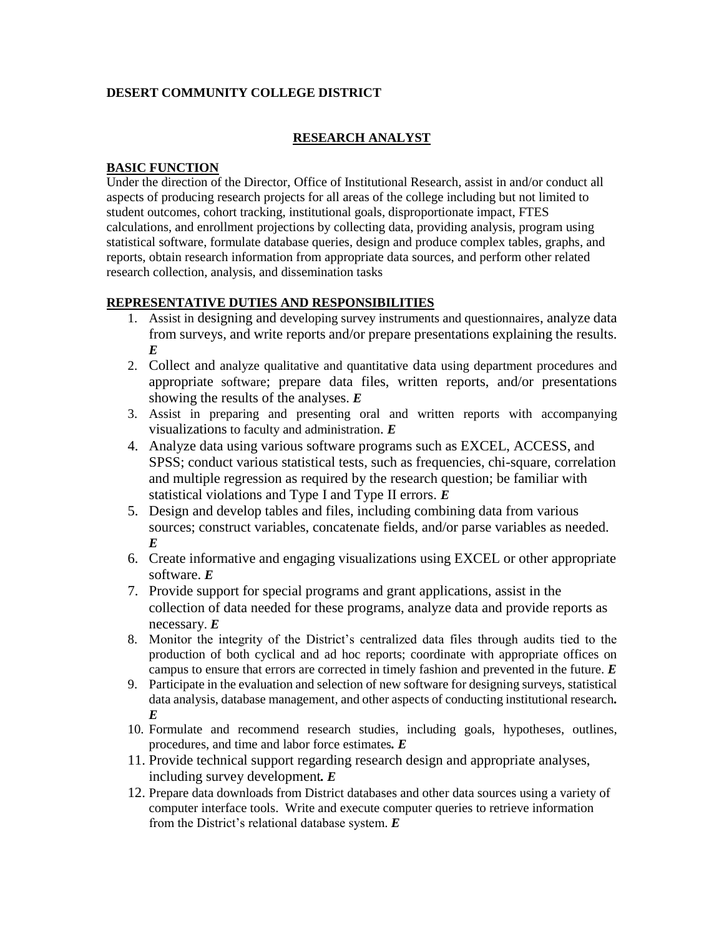## **DESERT COMMUNITY COLLEGE DISTRICT**

# **RESEARCH ANALYST**

#### **BASIC FUNCTION**

Under the direction of the Director, Office of Institutional Research, assist in and/or conduct all aspects of producing research projects for all areas of the college including but not limited to student outcomes, cohort tracking, institutional goals, disproportionate impact, FTES calculations, and enrollment projections by collecting data, providing analysis, program using statistical software, formulate database queries, design and produce complex tables, graphs, and reports, obtain research information from appropriate data sources, and perform other related research collection, analysis, and dissemination tasks

## **REPRESENTATIVE DUTIES AND RESPONSIBILITIES**

- 1. Assist in designing and developing survey instruments and questionnaires, analyze data from surveys, and write reports and/or prepare presentations explaining the results. *E*
- 2. Collect and analyze qualitative and quantitative data using department procedures and appropriate software; prepare data files, written reports, and/or presentations showing the results of the analyses. *E*
- 3. Assist in preparing and presenting oral and written reports with accompanying visualizations to faculty and administration. *E*
- 4. Analyze data using various software programs such as EXCEL, ACCESS, and SPSS; conduct various statistical tests, such as frequencies, chi-square, correlation and multiple regression as required by the research question; be familiar with statistical violations and Type I and Type II errors. *E*
- 5. Design and develop tables and files, including combining data from various sources; construct variables, concatenate fields, and/or parse variables as needed. *E*
- 6. Create informative and engaging visualizations using EXCEL or other appropriate software. *E*
- 7. Provide support for special programs and grant applications, assist in the collection of data needed for these programs, analyze data and provide reports as necessary. *E*
- 8. Monitor the integrity of the District's centralized data files through audits tied to the production of both cyclical and ad hoc reports; coordinate with appropriate offices on campus to ensure that errors are corrected in timely fashion and prevented in the future. *E*
- 9. Participate in the evaluation and selection of new software for designing surveys, statistical data analysis, database management, and other aspects of conducting institutional research*. E*
- 10. Formulate and recommend research studies, including goals, hypotheses, outlines, procedures, and time and labor force estimates*. E*
- 11. Provide technical support regarding research design and appropriate analyses, including survey development*. E*
- 12. Prepare data downloads from District databases and other data sources using a variety of computer interface tools. Write and execute computer queries to retrieve information from the District's relational database system. *E*